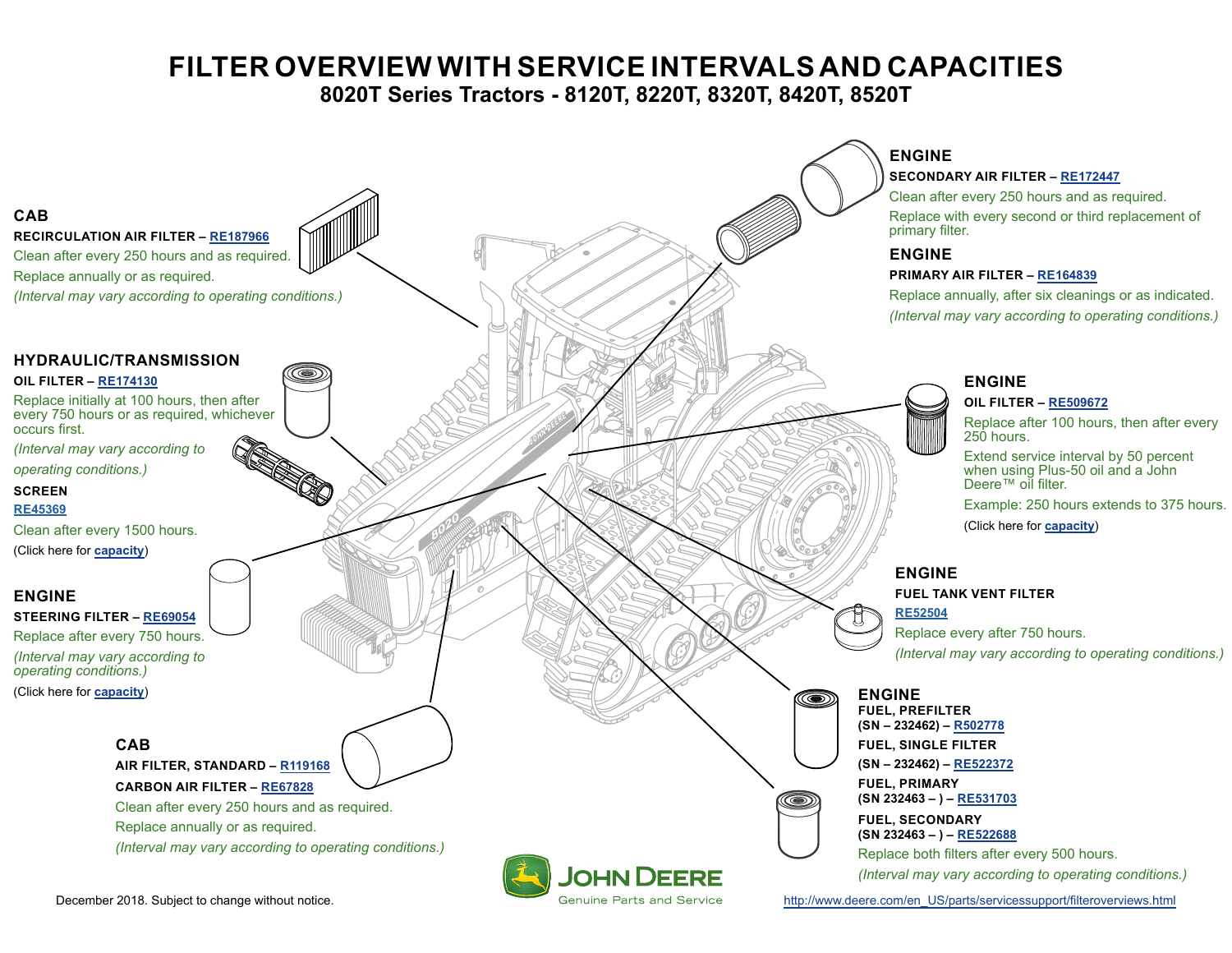## **FILTER OVERVIEW WITH SERVICE INTERVALS AND CAPACITIES**

**8020T Series Tractors - 8120T, 8220T, 8320T, 8420T, 8520T**

<span id="page-0-0"></span>